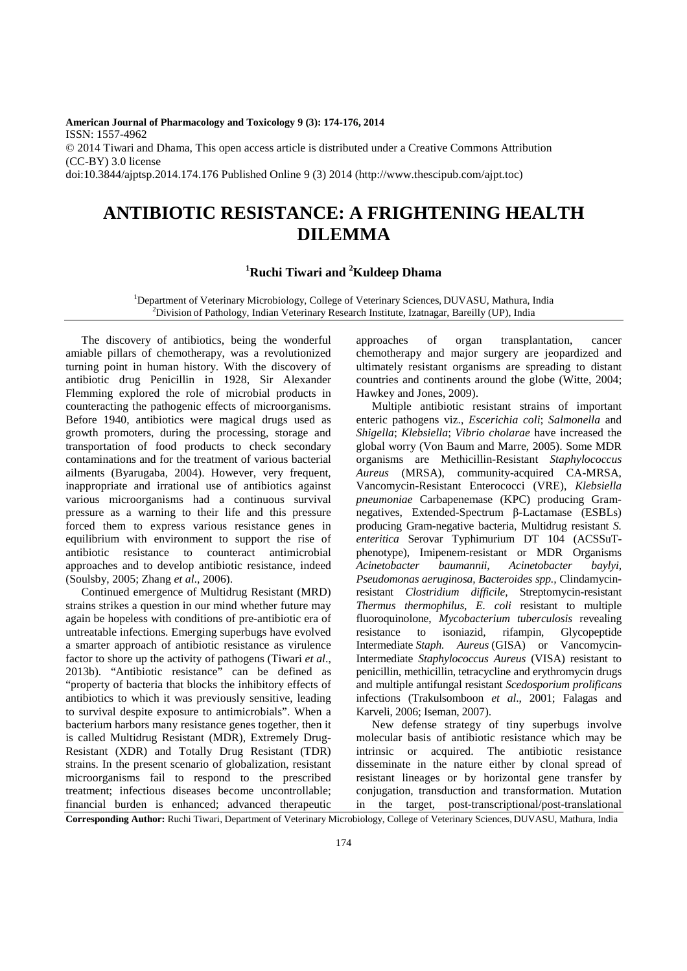**American Journal of Pharmacology and Toxicology 9 (3): 174-176, 2014**  ISSN: 1557-4962 © 2014 Tiwari and Dhama, This open access article is distributed under a Creative Commons Attribution (CC-BY) 3.0 license doi:10.3844/ajptsp.2014.174.176 Published Online 9 (3) 2014 (http://www.thescipub.com/ajpt.toc)

## **ANTIBIOTIC RESISTANCE: A FRIGHTENING HEALTH DILEMMA**

## **<sup>1</sup>Ruchi Tiwari and <sup>2</sup>Kuldeep Dhama**

<sup>1</sup>Department of Veterinary Microbiology, College of Veterinary Sciences, DUVASU, Mathura, India <sup>2</sup>Division of Pathology, Indian Veterinary Research Institute, Izatnagar, Bareilly (UP), India

The discovery of antibiotics, being the wonderful amiable pillars of chemotherapy, was a revolutionized turning point in human history. With the discovery of antibiotic drug Penicillin in 1928, Sir Alexander Flemming explored the role of microbial products in counteracting the pathogenic effects of microorganisms. Before 1940, antibiotics were magical drugs used as growth promoters, during the processing, storage and transportation of food products to check secondary contaminations and for the treatment of various bacterial ailments (Byarugaba, 2004). However, very frequent, inappropriate and irrational use of antibiotics against various microorganisms had a continuous survival pressure as a warning to their life and this pressure forced them to express various resistance genes in equilibrium with environment to support the rise of antibiotic resistance to counteract antimicrobial approaches and to develop antibiotic resistance, indeed (Soulsby, 2005; Zhang *et al*., 2006).

Continued emergence of Multidrug Resistant (MRD) strains strikes a question in our mind whether future may again be hopeless with conditions of pre-antibiotic era of untreatable infections. Emerging superbugs have evolved a smarter approach of antibiotic resistance as virulence factor to shore up the activity of pathogens (Tiwari *et al*., 2013b). "Antibiotic resistance" can be defined as "property of bacteria that blocks the inhibitory effects of antibiotics to which it was previously sensitive, leading to survival despite exposure to antimicrobials". When a bacterium harbors many resistance genes together, then it is called Multidrug Resistant (MDR), Extremely Drug-Resistant (XDR) and Totally Drug Resistant (TDR) strains. In the present scenario of globalization, resistant microorganisms fail to respond to the prescribed treatment; infectious diseases become uncontrollable; financial burden is enhanced; advanced therapeutic

approaches of organ transplantation, cancer chemotherapy and major surgery are jeopardized and ultimately resistant organisms are spreading to distant countries and continents around the globe (Witte, 2004; Hawkey and Jones, 2009).

Multiple antibiotic resistant strains of important enteric pathogens viz., *Escerichia coli*; *Salmonella* and *Shigella*; *Klebsiella*; *Vibrio cholarae* have increased the global worry (Von Baum and Marre, 2005). Some MDR organisms are Methicillin-Resistant *Staphylococcus Aureus* (MRSA), community-acquired CA-MRSA, Vancomycin-Resistant Enterococci (VRE), *Klebsiella pneumoniae* Carbapenemase (KPC) producing Gramnegatives, Extended-Spectrum β-Lactamase (ESBLs) producing Gram-negative bacteria, Multidrug resistant *S. enteritica* Serovar Typhimurium DT 104 (ACSSuTphenotype), Imipenem-resistant or MDR Organisms *Acinetobacter baumannii, Acinetobacter baylyi, Pseudomonas aeruginosa, Bacteroides spp.,* Clindamycinresistant *Clostridium difficile,* Streptomycin-resistant *Thermus thermophilus, E. coli* resistant to multiple fluoroquinolone, *Mycobacterium tuberculosis* revealing resistance to isoniazid, rifampin, Glycopeptide Intermediate *Staph. Aureus* (GISA) or Vancomycin-Intermediate *Staphylococcus Aureus* (VISA) resistant to penicillin, methicillin, tetracycline and erythromycin drugs and multiple antifungal resistant *Scedosporium prolificans*  infections (Trakulsomboon *et al*., 2001; Falagas and Karveli, 2006; Iseman, 2007).

New defense strategy of tiny superbugs involve molecular basis of antibiotic resistance which may be intrinsic or acquired. The antibiotic resistance disseminate in the nature either by clonal spread of resistant lineages or by horizontal gene transfer by conjugation, transduction and transformation. Mutation in the target, post-transcriptional/post-translational

**Corresponding Author:** Ruchi Tiwari, Department of Veterinary Microbiology, College of Veterinary Sciences, DUVASU, Mathura, India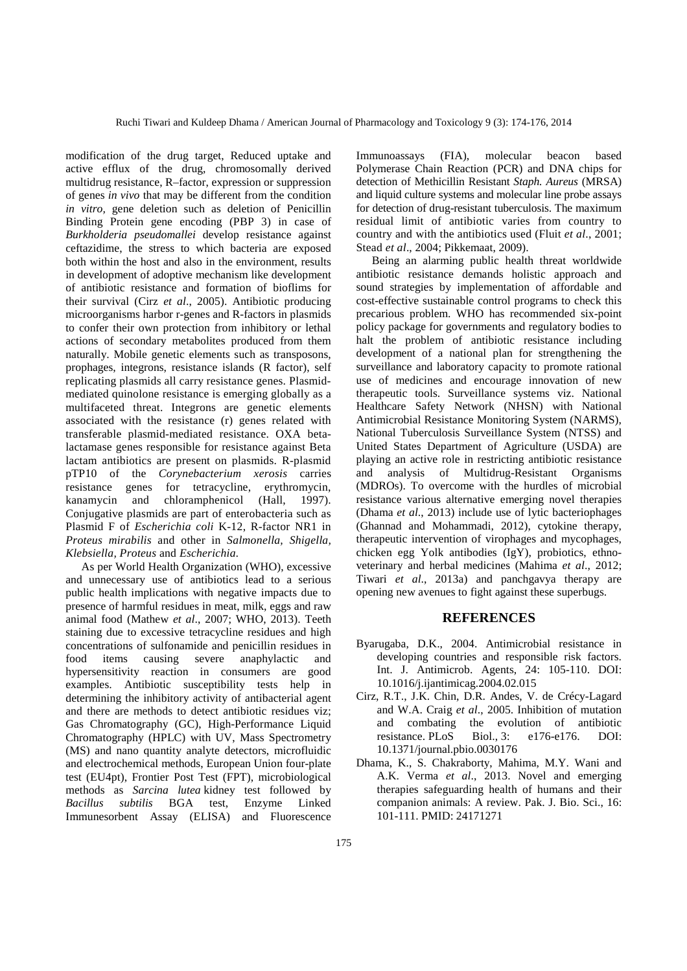modification of the drug target, Reduced uptake and active efflux of the drug, chromosomally derived multidrug resistance, R–factor, expression or suppression of genes *in vivo* that may be different from the condition *in vitro,* gene deletion such as deletion of Penicillin Binding Protein gene encoding (PBP 3) in case of *Burkholderia pseudomallei* develop resistance against ceftazidime, the stress to which bacteria are exposed both within the host and also in the environment, results in development of adoptive mechanism like development of antibiotic resistance and formation of bioflims for their survival (Cirz *et al*., 2005). Antibiotic producing microorganisms harbor r-genes and R-factors in plasmids to confer their own protection from inhibitory or lethal actions of secondary metabolites produced from them naturally. Mobile genetic elements such as transposons, prophages, integrons, resistance islands (R factor), self replicating plasmids all carry resistance genes. Plasmidmediated quinolone resistance is emerging globally as a multifaceted threat. Integrons are genetic elements associated with the resistance (r) genes related with transferable plasmid-mediated resistance. OXA betalactamase genes responsible for resistance against Beta lactam antibiotics are present on plasmids. R-plasmid pTP10 of the *Corynebacterium xerosis* carries resistance genes for tetracycline, erythromycin, kanamycin and chloramphenicol (Hall, 1997). Conjugative plasmids are part of enterobacteria such as Plasmid F of *Escherichia coli* K-12, R-factor NR1 in *Proteus mirabilis* and other in *Salmonella, Shigella, Klebsiella, Proteus* and *Escherichia.* 

As per World Health Organization (WHO), excessive and unnecessary use of antibiotics lead to a serious public health implications with negative impacts due to presence of harmful residues in meat, milk, eggs and raw animal food (Mathew *et al*., 2007; WHO, 2013). Teeth staining due to excessive tetracycline residues and high concentrations of sulfonamide and penicillin residues in food items causing severe anaphylactic and hypersensitivity reaction in consumers are good examples. Antibiotic susceptibility tests help in determining the inhibitory activity of antibacterial agent and there are methods to detect antibiotic residues viz; Gas Chromatography (GC), High-Performance Liquid Chromatography (HPLC) with UV, Mass Spectrometry (MS) and nano quantity analyte detectors, microfluidic and electrochemical methods, European Union four-plate test (EU4pt), Frontier Post Test (FPT), microbiological methods as *Sarcina lutea* kidney test followed by *Bacillus subtilis* BGA test, Enzyme Linked Immunesorbent Assay (ELISA) and Fluorescence

Immunoassays (FIA), molecular beacon based Polymerase Chain Reaction (PCR) and DNA chips for detection of Methicillin Resistant *Staph. Aureus* (MRSA) and liquid culture systems and molecular line probe assays for detection of drug-resistant tuberculosis. The maximum residual limit of antibiotic varies from country to country and with the antibiotics used (Fluit *et al*., 2001; Stead *et al*., 2004; Pikkemaat, 2009).

Being an alarming public health threat worldwide antibiotic resistance demands holistic approach and sound strategies by implementation of affordable and cost-effective sustainable control programs to check this precarious problem. WHO has recommended six-point policy package for governments and regulatory bodies to halt the problem of antibiotic resistance including development of a national plan for strengthening the surveillance and laboratory capacity to promote rational use of medicines and encourage innovation of new therapeutic tools. Surveillance systems viz. National Healthcare Safety Network (NHSN) with National Antimicrobial Resistance Monitoring System (NARMS), National Tuberculosis Surveillance System (NTSS) and United States Department of Agriculture (USDA) are playing an active role in restricting antibiotic resistance and analysis of Multidrug-Resistant Organisms (MDROs). To overcome with the hurdles of microbial resistance various alternative emerging novel therapies (Dhama *et al*., 2013) include use of lytic bacteriophages (Ghannad and Mohammadi, 2012), cytokine therapy, therapeutic intervention of virophages and mycophages, chicken egg Yolk antibodies (IgY), probiotics, ethnoveterinary and herbal medicines (Mahima *et al*., 2012; Tiwari *et al*., 2013a) and panchgavya therapy are opening new avenues to fight against these superbugs.

## **REFERENCES**

- Byarugaba, D.K., 2004. Antimicrobial resistance in developing countries and responsible risk factors. Int. J. Antimicrob. Agents, 24: 105-110. DOI: 10.1016/j.ijantimicag.2004.02.015
- Cirz, R.T., J.K. Chin, D.R. Andes, V. de Crécy-Lagard and W.A. Craig *et al*., 2005. Inhibition of mutation and combating the evolution of antibiotic resistance. PLoS Biol., 3: e176-e176. DOI: 10.1371/journal.pbio.0030176
- Dhama, K., S. Chakraborty, Mahima, M.Y. Wani and A.K. Verma *et al*., 2013. Novel and emerging therapies safeguarding health of humans and their companion animals: A review. Pak. J. Bio. Sci., 16: 101-111. PMID: 24171271